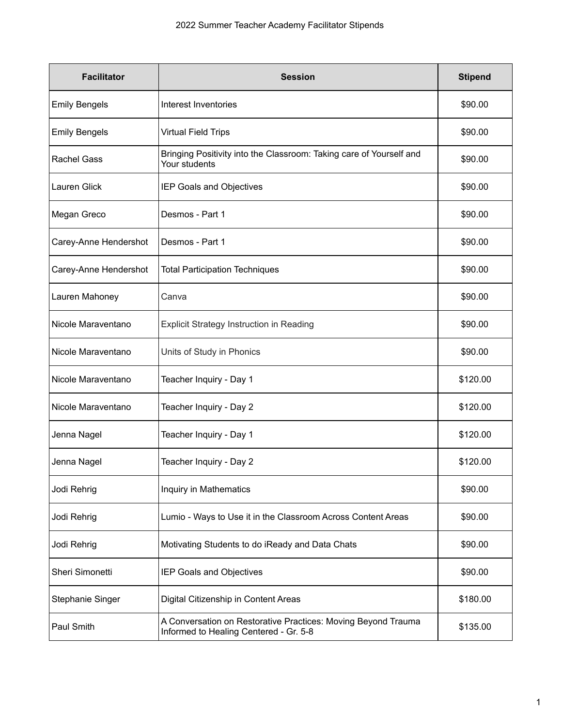| <b>Facilitator</b>    | <b>Session</b>                                                                                          | <b>Stipend</b> |
|-----------------------|---------------------------------------------------------------------------------------------------------|----------------|
| <b>Emily Bengels</b>  | Interest Inventories                                                                                    | \$90.00        |
| <b>Emily Bengels</b>  | <b>Virtual Field Trips</b>                                                                              | \$90.00        |
| <b>Rachel Gass</b>    | Bringing Positivity into the Classroom: Taking care of Yourself and<br>Your students                    | \$90.00        |
| Lauren Glick          | IEP Goals and Objectives                                                                                | \$90.00        |
| Megan Greco           | Desmos - Part 1                                                                                         | \$90.00        |
| Carey-Anne Hendershot | Desmos - Part 1                                                                                         | \$90.00        |
| Carey-Anne Hendershot | <b>Total Participation Techniques</b>                                                                   | \$90.00        |
| Lauren Mahoney        | Canva                                                                                                   | \$90.00        |
| Nicole Maraventano    | <b>Explicit Strategy Instruction in Reading</b>                                                         | \$90.00        |
| Nicole Maraventano    | Units of Study in Phonics                                                                               | \$90.00        |
| Nicole Maraventano    | Teacher Inquiry - Day 1                                                                                 | \$120.00       |
| Nicole Maraventano    | Teacher Inquiry - Day 2                                                                                 | \$120.00       |
| Jenna Nagel           | Teacher Inquiry - Day 1                                                                                 | \$120.00       |
| Jenna Nagel           | Teacher Inquiry - Day 2                                                                                 | \$120.00       |
| Jodi Rehrig           | Inquiry in Mathematics                                                                                  | \$90.00        |
| Jodi Rehrig           | Lumio - Ways to Use it in the Classroom Across Content Areas                                            | \$90.00        |
| Jodi Rehrig           | Motivating Students to do iReady and Data Chats                                                         | \$90.00        |
| Sheri Simonetti       | IEP Goals and Objectives                                                                                | \$90.00        |
| Stephanie Singer      | Digital Citizenship in Content Areas                                                                    | \$180.00       |
| Paul Smith            | A Conversation on Restorative Practices: Moving Beyond Trauma<br>Informed to Healing Centered - Gr. 5-8 | \$135.00       |